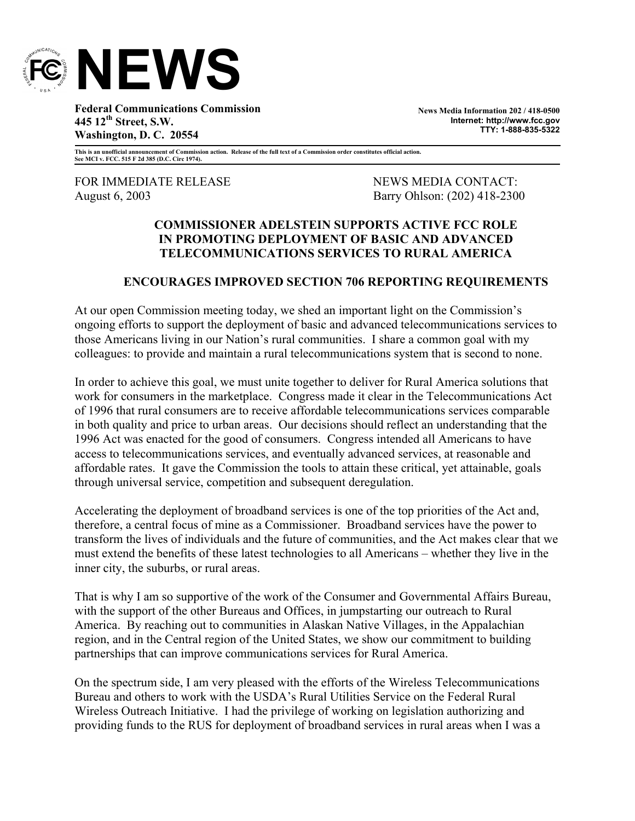

**Federal Communications Commission 445 12th Street, S.W. Washington, D. C. 20554** 

**News Media Information 202 / 418-0500 Internet: http://www.fcc.gov TTY: 1-888-835-5322**

**This is an unofficial announcement of Commission action. Release of the full text of a Commission order constitutes official action. See MCI v. FCC. 515 F 2d 385 (D.C. Circ 1974).** 

FOR IMMEDIATE RELEASE NEWS MEWS MEDIA CONTACT: August 6, 2003 **Barry Ohlson: (202) 418-2300** 

## **COMMISSIONER ADELSTEIN SUPPORTS ACTIVE FCC ROLE IN PROMOTING DEPLOYMENT OF BASIC AND ADVANCED TELECOMMUNICATIONS SERVICES TO RURAL AMERICA**

## **ENCOURAGES IMPROVED SECTION 706 REPORTING REQUIREMENTS**

At our open Commission meeting today, we shed an important light on the Commission's ongoing efforts to support the deployment of basic and advanced telecommunications services to those Americans living in our Nation's rural communities. I share a common goal with my colleagues: to provide and maintain a rural telecommunications system that is second to none.

In order to achieve this goal, we must unite together to deliver for Rural America solutions that work for consumers in the marketplace. Congress made it clear in the Telecommunications Act of 1996 that rural consumers are to receive affordable telecommunications services comparable in both quality and price to urban areas. Our decisions should reflect an understanding that the 1996 Act was enacted for the good of consumers. Congress intended all Americans to have access to telecommunications services, and eventually advanced services, at reasonable and affordable rates. It gave the Commission the tools to attain these critical, yet attainable, goals through universal service, competition and subsequent deregulation.

Accelerating the deployment of broadband services is one of the top priorities of the Act and, therefore, a central focus of mine as a Commissioner. Broadband services have the power to transform the lives of individuals and the future of communities, and the Act makes clear that we must extend the benefits of these latest technologies to all Americans – whether they live in the inner city, the suburbs, or rural areas.

That is why I am so supportive of the work of the Consumer and Governmental Affairs Bureau, with the support of the other Bureaus and Offices, in jumpstarting our outreach to Rural America. By reaching out to communities in Alaskan Native Villages, in the Appalachian region, and in the Central region of the United States, we show our commitment to building partnerships that can improve communications services for Rural America.

On the spectrum side, I am very pleased with the efforts of the Wireless Telecommunications Bureau and others to work with the USDA's Rural Utilities Service on the Federal Rural Wireless Outreach Initiative. I had the privilege of working on legislation authorizing and providing funds to the RUS for deployment of broadband services in rural areas when I was a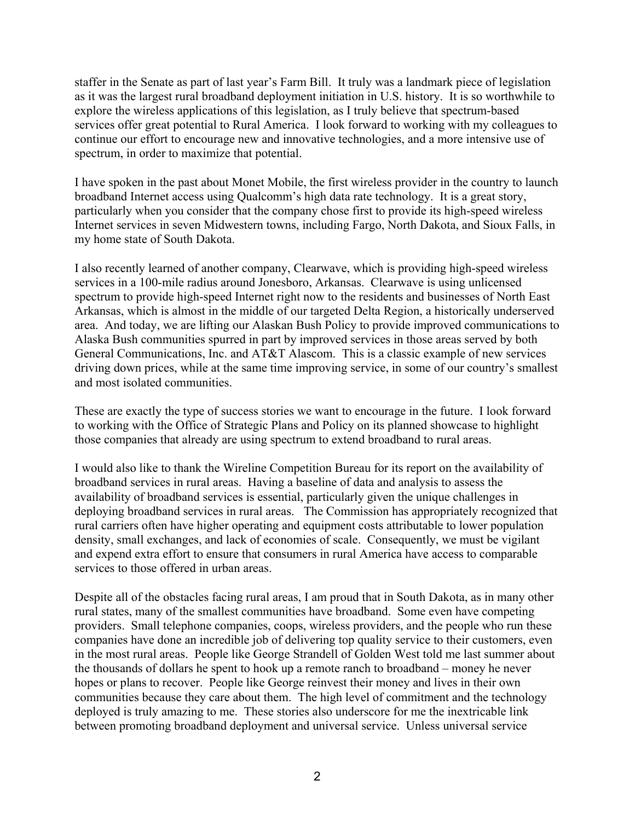staffer in the Senate as part of last year's Farm Bill. It truly was a landmark piece of legislation as it was the largest rural broadband deployment initiation in U.S. history. It is so worthwhile to explore the wireless applications of this legislation, as I truly believe that spectrum-based services offer great potential to Rural America. I look forward to working with my colleagues to continue our effort to encourage new and innovative technologies, and a more intensive use of spectrum, in order to maximize that potential.

I have spoken in the past about Monet Mobile, the first wireless provider in the country to launch broadband Internet access using Qualcomm's high data rate technology. It is a great story, particularly when you consider that the company chose first to provide its high-speed wireless Internet services in seven Midwestern towns, including Fargo, North Dakota, and Sioux Falls, in my home state of South Dakota.

I also recently learned of another company, Clearwave, which is providing high-speed wireless services in a 100-mile radius around Jonesboro, Arkansas. Clearwave is using unlicensed spectrum to provide high-speed Internet right now to the residents and businesses of North East Arkansas, which is almost in the middle of our targeted Delta Region, a historically underserved area. And today, we are lifting our Alaskan Bush Policy to provide improved communications to Alaska Bush communities spurred in part by improved services in those areas served by both General Communications, Inc. and AT&T Alascom. This is a classic example of new services driving down prices, while at the same time improving service, in some of our country's smallest and most isolated communities.

These are exactly the type of success stories we want to encourage in the future. I look forward to working with the Office of Strategic Plans and Policy on its planned showcase to highlight those companies that already are using spectrum to extend broadband to rural areas.

I would also like to thank the Wireline Competition Bureau for its report on the availability of broadband services in rural areas. Having a baseline of data and analysis to assess the availability of broadband services is essential, particularly given the unique challenges in deploying broadband services in rural areas. The Commission has appropriately recognized that rural carriers often have higher operating and equipment costs attributable to lower population density, small exchanges, and lack of economies of scale. Consequently, we must be vigilant and expend extra effort to ensure that consumers in rural America have access to comparable services to those offered in urban areas.

Despite all of the obstacles facing rural areas, I am proud that in South Dakota, as in many other rural states, many of the smallest communities have broadband. Some even have competing providers. Small telephone companies, coops, wireless providers, and the people who run these companies have done an incredible job of delivering top quality service to their customers, even in the most rural areas. People like George Strandell of Golden West told me last summer about the thousands of dollars he spent to hook up a remote ranch to broadband – money he never hopes or plans to recover. People like George reinvest their money and lives in their own communities because they care about them. The high level of commitment and the technology deployed is truly amazing to me. These stories also underscore for me the inextricable link between promoting broadband deployment and universal service. Unless universal service